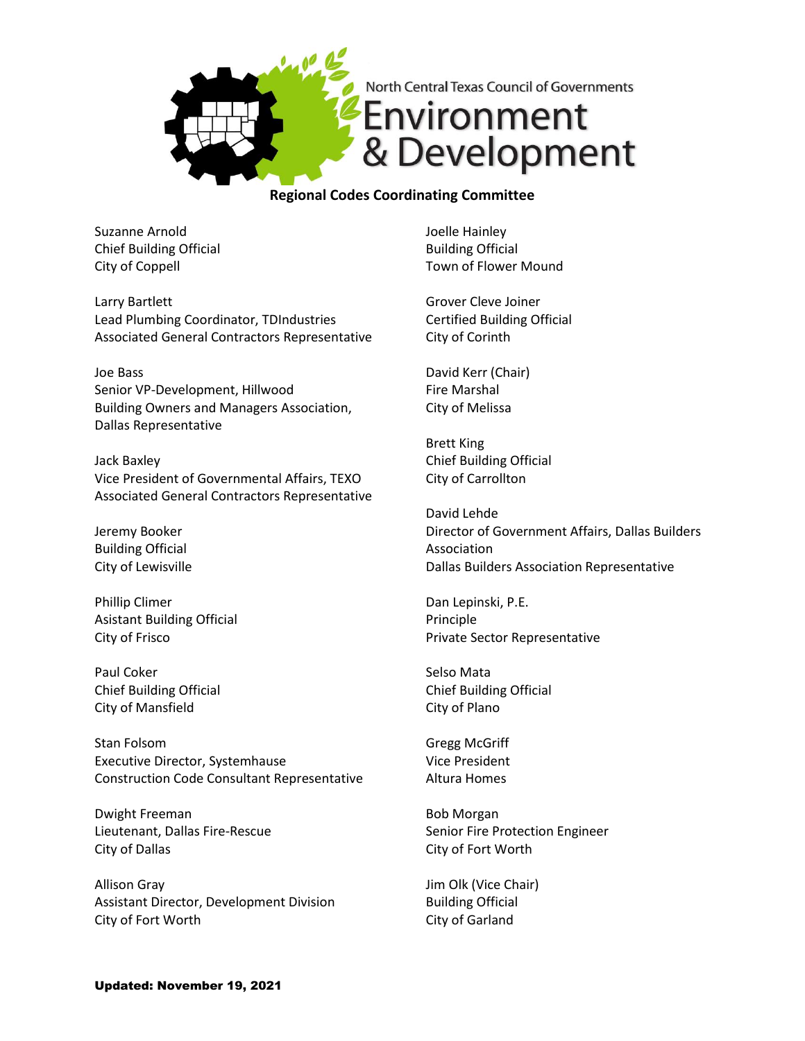

## **Regional Codes Coordinating Committee**

Suzanne Arnold Chief Building Official City of Coppell

Larry Bartlett Lead Plumbing Coordinator, TDIndustries Associated General Contractors Representative

Joe Bass Senior VP-Development, Hillwood Building Owners and Managers Association, Dallas Representative

Jack Baxley Vice President of Governmental Affairs, TEXO Associated General Contractors Representative

Jeremy Booker Building Official City of Lewisville

Phillip Climer Asistant Building Official City of Frisco

Paul Coker Chief Building Official City of Mansfield

Stan Folsom Executive Director, Systemhause Construction Code Consultant Representative

Dwight Freeman Lieutenant, Dallas Fire-Rescue City of Dallas

Allison Gray Assistant Director, Development Division City of Fort Worth

Joelle Hainley Building Official Town of Flower Mound

Grover Cleve Joiner Certified Building Official City of Corinth

David Kerr (Chair) Fire Marshal City of Melissa

Brett King Chief Building Official City of Carrollton

David Lehde Director of Government Affairs, Dallas Builders Association Dallas Builders Association Representative

Dan Lepinski, P.E. Principle Private Sector Representative

Selso Mata Chief Building Official City of Plano

Gregg McGriff Vice President Altura Homes

Bob Morgan Senior Fire Protection Engineer City of Fort Worth

Jim Olk (Vice Chair) Building Official City of Garland